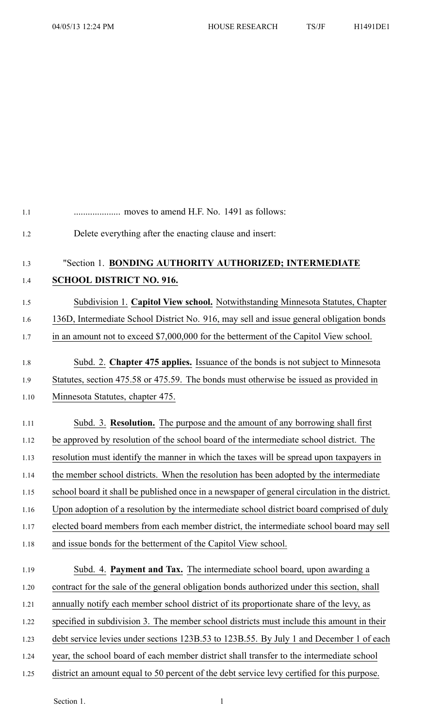| 1.1 |                                                                                                |
|-----|------------------------------------------------------------------------------------------------|
| 1.2 | Delete everything after the enacting clause and insert:                                        |
| 1.3 | "Section 1. BONDING AUTHORITY AUTHORIZED; INTERMEDIATE                                         |
| 1.4 | <b>SCHOOL DISTRICT NO. 916.</b>                                                                |
|     |                                                                                                |
|     | Subdivision 1. Capitol View school. Notwithstanding Minnesota Statutes, Chapter                |
|     | 136D, Intermediate School District No. 916, may sell and issue general obligation bonds        |
|     | in an amount not to exceed \$7,000,000 for the betterment of the Capitol View school.          |
|     | Subd. 2. Chapter 475 applies. Issuance of the bonds is not subject to Minnesota                |
|     | Statutes, section 475.58 or 475.59. The bonds must otherwise be issued as provided in          |
|     | Minnesota Statutes, chapter 475.                                                               |
|     | Subd. 3. Resolution. The purpose and the amount of any borrowing shall first                   |
|     | be approved by resolution of the school board of the intermediate school district. The         |
|     | resolution must identify the manner in which the taxes will be spread upon taxpayers in        |
|     | the member school districts. When the resolution has been adopted by the intermediate          |
|     | school board it shall be published once in a newspaper of general circulation in the district. |
|     | Upon adoption of a resolution by the intermediate school district board comprised of duly      |
|     | elected board members from each member district, the intermediate school board may sell        |
|     | and issue bonds for the betterment of the Capitol View school.                                 |
|     | Subd. 4. <b>Payment and Tax.</b> The intermediate school board, upon awarding a                |
|     | contract for the sale of the general obligation bonds authorized under this section, shall     |
|     | annually notify each member school district of its proportionate share of the levy, as         |
|     | specified in subdivision 3. The member school districts must include this amount in their      |
|     | debt service levies under sections 123B.53 to 123B.55. By July 1 and December 1 of each        |
|     | year, the school board of each member district shall transfer to the intermediate school       |
|     | district an amount equal to 50 percent of the debt service levy certified for this purpose.    |